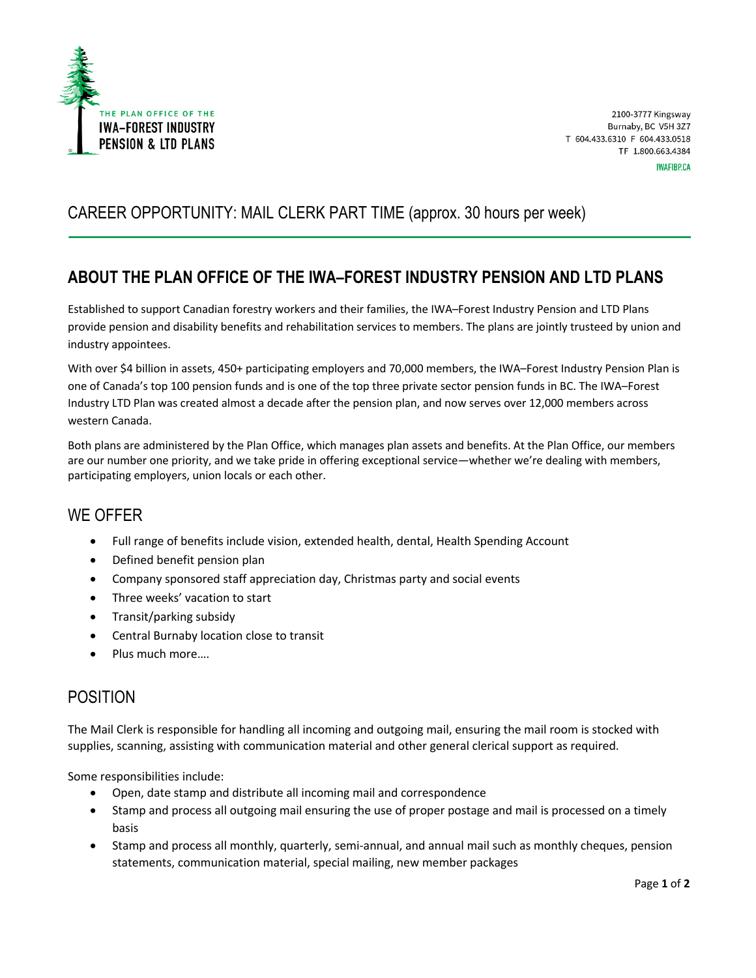

# CAREER OPPORTUNITY: MAIL CLERK PART TIME (approx. 30 hours per week)

## **ABOUT THE PLAN OFFICE OF THE IWA–FOREST INDUSTRY PENSION AND LTD PLANS**

Established to support Canadian forestry workers and their families, the IWA–Forest Industry Pension and LTD Plans provide pension and disability benefits and rehabilitation services to members. The plans are jointly trusteed by union and industry appointees.

With over \$4 billion in assets, 450+ participating employers and 70,000 members, the IWA–Forest Industry Pension Plan is one of Canada's top 100 pension funds and is one of the top three private sector pension funds in BC. The IWA–Forest Industry LTD Plan was created almost a decade after the pension plan, and now serves over 12,000 members across western Canada.

Both plans are administered by the Plan Office, which manages plan assets and benefits. At the Plan Office, our members are our number one priority, and we take pride in offering exceptional service—whether we're dealing with members, participating employers, union locals or each other.

#### WE OFFER

- Full range of benefits include vision, extended health, dental, Health Spending Account
- Defined benefit pension plan
- Company sponsored staff appreciation day, Christmas party and social events
- Three weeks' vacation to start
- Transit/parking subsidy
- Central Burnaby location close to transit
- Plus much more....

#### POSITION

The Mail Clerk is responsible for handling all incoming and outgoing mail, ensuring the mail room is stocked with supplies, scanning, assisting with communication material and other general clerical support as required.

Some responsibilities include:

- Open, date stamp and distribute all incoming mail and correspondence
- Stamp and process all outgoing mail ensuring the use of proper postage and mail is processed on a timely basis
- Stamp and process all monthly, quarterly, semi-annual, and annual mail such as monthly cheques, pension statements, communication material, special mailing, new member packages